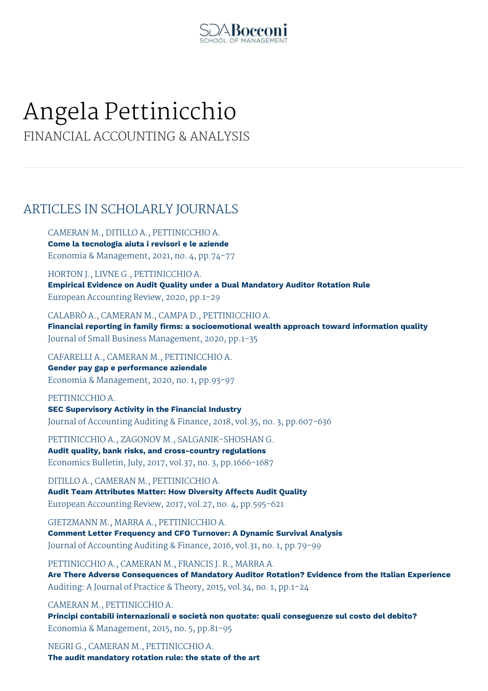

# Angela Pettinicchio

FINANCIAL ACCOUNTING & ANALYSIS

# ARTICLES IN SCHOLARLY JOURNALS

CAMERAN M., DITILLO A., PETTINICCHIO A. **Come la tecnologia aiuta i revisori e le aziende** Economia & Management, 2021, no. 4, pp.74-77

HORTON J., LIVNE G., PETTINICCHIO A. **Empirical Evidence on Audit Quality under a Dual Mandatory Auditor Rotation Rule** European Accounting Review, 2020, pp.1-29

CALABRÒ A., CAMERAN M., CAMPA D., PETTINICCHIO A. **Financial reporting in family firms: a socioemotional wealth approach toward information quality** Journal of Small Business Management, 2020, pp.1-35

CAFARELLI A., CAMERAN M., PETTINICCHIO A. **Gender pay gap e performance aziendale**

Economia & Management, 2020, no. 1, pp.93-97

PETTINICCHIO A. **SEC Supervisory Activity in the Financial Industry** Journal of Accounting Auditing & Finance, 2018, vol.35, no. 3, pp.607-636

PETTINICCHIO A., ZAGONOV M., SALGANIK-SHOSHAN G. **Audit quality, bank risks, and cross-country regulations** Economics Bulletin, July, 2017, vol.37, no. 3, pp.1666-1687

DITILLO A., CAMERAN M., PETTINICCHIO A. **Audit Team Attributes Matter: How Diversity Affects Audit Quality** European Accounting Review, 2017, vol.27, no. 4, pp.595-621

GIETZMANN M., MARRA A., PETTINICCHIO A. **Comment Letter Frequency and CFO Turnover: A Dynamic Survival Analysis** Journal of Accounting Auditing & Finance, 2016, vol.31, no. 1, pp.79-99

PETTINICCHIO A., CAMERAN M., FRANCIS J. R., MARRA A. **Are There Adverse Consequences of Mandatory Auditor Rotation? Evidence from the Italian Experience** Auditing: A Journal of Practice & Theory, 2015, vol.34, no. 1, pp.1-24

CAMERAN M., PETTINICCHIO A. **Principi contabili internazionali e società non quotate: quali conseguenze sul costo del debito?** Economia & Management, 2015, no. 5, pp.81-95

NEGRI G., CAMERAN M., PETTINICCHIO A. **The audit mandatory rotation rule: the state of the art**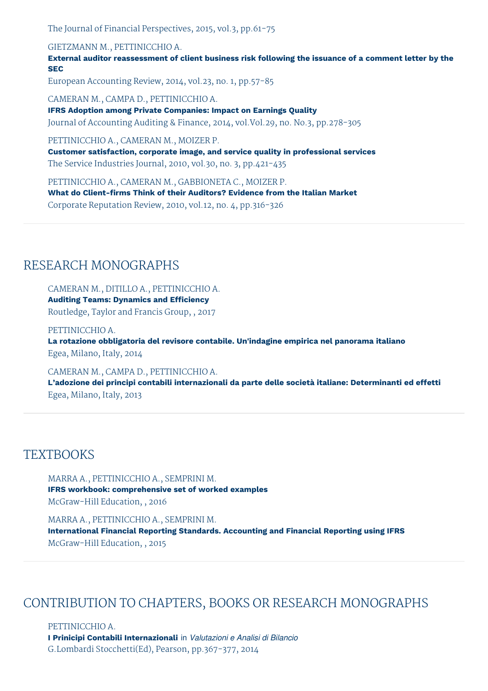The Journal of Financial Perspectives, 2015, vol.3, pp.61-75

GIETZMANN M., PETTINICCHIO A.

**External auditor reassessment of client business risk following the issuance of a comment letter by the SEC**

European Accounting Review, 2014, vol.23, no. 1, pp.57-85

CAMERAN M., CAMPA D., PETTINICCHIO A. **IFRS Adoption among Private Companies: Impact on Earnings Quality** Journal of Accounting Auditing & Finance, 2014, vol.Vol.29, no. No.3, pp.278-305

PETTINICCHIO A., CAMERAN M., MOIZER P.

**Customer satisfaction, corporate image, and service quality in professional services** The Service Industries Journal, 2010, vol.30, no. 3, pp.421-435

PETTINICCHIO A., CAMERAN M., GABBIONETA C., MOIZER P. **What do Client-firms Think of their Auditors? Evidence from the Italian Market** Corporate Reputation Review, 2010, vol.12, no. 4, pp.316-326

## RESEARCH MONOGRAPHS

CAMERAN M., DITILLO A., PETTINICCHIO A. **Auditing Teams: Dynamics and Efficiency** Routledge, Taylor and Francis Group, , 2017

PETTINICCHIO A. **La rotazione obbligatoria del revisore contabile. Un'indagine empirica nel panorama italiano** Egea, Milano, Italy, 2014

CAMERAN M., CAMPA D., PETTINICCHIO A.

**L'adozione dei principi contabili internazionali da parte delle società italiane: Determinanti ed effetti** Egea, Milano, Italy, 2013

## **TEXTBOOKS**

MARRA A., PETTINICCHIO A., SEMPRINI M. **IFRS workbook: comprehensive set of worked examples** McGraw-Hill Education, , 2016

MARRA A., PETTINICCHIO A., SEMPRINI M. **International Financial Reporting Standards. Accounting and Financial Reporting using IFRS** McGraw-Hill Education, , 2015

## CONTRIBUTION TO CHAPTERS, BOOKS OR RESEARCH MONOGRAPHS

PETTINICCHIO A. **I Prinicipi Contabili Internazionali** in *Valutazioni e Analisi di Bilancio* G.Lombardi Stocchetti(Ed), Pearson, pp.367-377, 2014